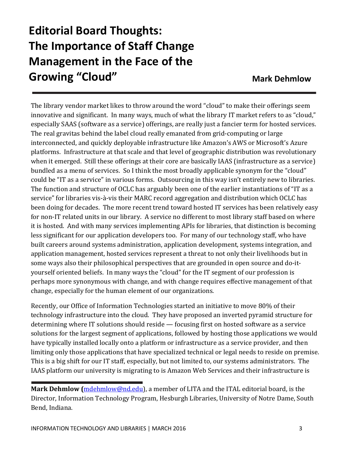## **Editorial Board Thoughts: The Importance of Staff Change Management in the Face of the Growing "Cloud" Mark Dehmlow Mark Dehmlow**

The library vendor market likes to throw around the word "cloud" to make their offerings seem innovative and significant. In many ways, much of what the library IT market refers to as "cloud," especially SAAS (software as a service) offerings, are really just a fancier term for hosted services. The real gravitas behind the label cloud really emanated from grid-computing or large interconnected, and quickly deployable infrastructure like Amazon's AWS or Microsoft's Azure platforms. Infrastructure at that scale and that level of geographic distribution was revolutionary when it emerged. Still these offerings at their core are basically IAAS (infrastructure as a service) bundled as a menu of services. So I think the most broadly applicable synonym for the "cloud" could be "IT as a service" in various forms. Outsourcing in this way isn't entirely new to libraries. The function and structure of OCLC has arguably been one of the earlier instantiations of "IT as a service" for libraries vis-à-vis their MARC record aggregation and distribution which OCLC has been doing for decades. The more recent trend toward hosted IT services has been relatively easy for non-IT related units in our library. A service no different to most library staff based on where it is hosted. And with many services implementing APIs for libraries, that distinction is becoming less significant for our application developers too. For many of our technology staff, who have built careers around systems administration, application development, systems integration, and application management, hosted services represent a threat to not only their livelihoods but in some ways also their philosophical perspectives that are grounded in open source and do-ityourself oriented beliefs. In many ways the "cloud" for the IT segment of our profession is perhaps more synonymous with change, and with change requires effective management of that change, especially for the human element of our organizations.

Recently, our Office of Information Technologies started an initiative to move 80% of their technology infrastructure into the cloud. They have proposed an inverted pyramid structure for determining where IT solutions should reside — focusing first on hosted software as a service solutions for the largest segment of applications, followed by hosting those applications we would have typically installed locally onto a platform or infrastructure as a service provider, and then limiting only those applications that have specialized technical or legal needs to reside on premise. This is a big shift for our IT staff, especially, but not limited to, our systems administrators. The IAAS platform our university is migrating to is Amazon Web Services and their infrastructure is

**Mark Dehmlow (**mdehmlow@nd.edu), a member of LITA and the ITAL editorial board, is the Director, Information Technology Program, Hesburgh Libraries, University of Notre Dame, South Bend, Indiana.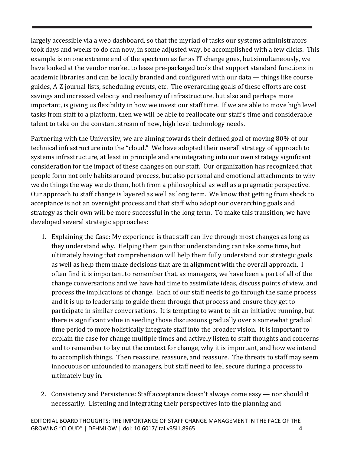largely accessible via a web dashboard, so that the myriad of tasks our systems administrators took days and weeks to do can now, in some adjusted way, be accomplished with a few clicks. This example is on one extreme end of the spectrum as far as IT change goes, but simultaneously, we have looked at the vendor market to lease pre-packaged tools that support standard functions in academic libraries and can be locally branded and configured with our data — things like course guides, A-Z journal lists, scheduling events, etc. The overarching goals of these efforts are cost savings and increased velocity and resiliency of infrastructure, but also and perhaps more important, is giving us flexibility in how we invest our staff time. If we are able to move high level tasks from staff to a platform, then we will be able to reallocate our staff's time and considerable talent to take on the constant stream of new, high level technology needs.

Partnering with the University, we are aiming towards their defined goal of moving 80% of our technical infrastructure into the "cloud." We have adopted their overall strategy of approach to systems infrastructure, at least in principle and are integrating into our own strategy significant consideration for the impact of these changes on our staff. Our organization has recognized that people form not only habits around process, but also personal and emotional attachments to why we do things the way we do them, both from a philosophical as well as a pragmatic perspective. Our approach to staff change is layered as well as long term. We know that getting from shock to acceptance is not an overnight process and that staff who adopt our overarching goals and strategy as their own will be more successful in the long term. To make this transition, we have developed several strategic approaches:

- 1. Explaining the Case: My experience is that staff can live through most changes as long as they understand why. Helping them gain that understanding can take some time, but ultimately having that comprehension will help them fully understand our strategic goals as well as help them make decisions that are in alignment with the overall approach. I often find it is important to remember that, as managers, we have been a part of all of the change conversations and we have had time to assimilate ideas, discuss points of view, and process the implications of change. Each of our staff needs to go through the same process and it is up to leadership to guide them through that process and ensure they get to participate in similar conversations. It is tempting to want to hit an initiative running, but there is significant value in seeding those discussions gradually over a somewhat gradual time period to more holistically integrate staff into the broader vision. It is important to explain the case for change multiple times and actively listen to staff thoughts and concerns and to remember to lay out the context for change, why it is important, and how we intend to accomplish things. Then reassure, reassure, and reassure. The threats to staff may seem innocuous or unfounded to managers, but staff need to feel secure during a process to ultimately buy in.
- 2. Consistency and Persistence: Staff acceptance doesn't always come easy nor should it necessarily. Listening and integrating their perspectives into the planning and

EDITORIAL BOARD THOUGHTS: THE IMPORTANCE OF STAFF CHANGE MANAGEMENT IN THE FACE OF THE GROWING "CLOUD" | DEHMLOW | doi: 10.6017/ital.v35i1.8965 4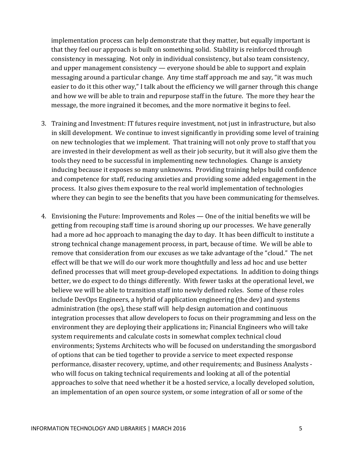implementation process can help demonstrate that they matter, but equally important is that they feel our approach is built on something solid. Stability is reinforced through consistency in messaging. Not only in individual consistency, but also team consistency, and upper management consistency — everyone should be able to support and explain messaging around a particular change. Any time staff approach me and say, "it was much easier to do it this other way," I talk about the efficiency we will garner through this change and how we will be able to train and repurpose staff in the future. The more they hear the message, the more ingrained it becomes, and the more normative it begins to feel.

- 3. Training and Investment: IT futures require investment, not just in infrastructure, but also in skill development. We continue to invest significantly in providing some level of training on new technologies that we implement. That training will not only prove to staff that you are invested in their development as well as their job security, but it will also give them the tools they need to be successful in implementing new technologies. Change is anxiety inducing because it exposes so many unknowns. Providing training helps build confidence and competence for staff, reducing anxieties and providing some added engagement in the process. It also gives them exposure to the real world implementation of technologies where they can begin to see the benefits that you have been communicating for themselves.
- 4. Envisioning the Future: Improvements and Roles One of the initial benefits we will be getting from recouping staff time is around shoring up our processes. We have generally had a more ad hoc approach to managing the day to day. It has been difficult to institute a strong technical change management process, in part, because of time. We will be able to remove that consideration from our excuses as we take advantage of the "cloud." The net effect will be that we will do our work more thoughtfully and less ad hoc and use better defined processes that will meet group-developed expectations. In addition to doing things better, we do expect to do things differently. With fewer tasks at the operational level, we believe we will be able to transition staff into newly defined roles. Some of these roles include DevOps Engineers, a hybrid of application engineering (the dev) and systems administration (the ops), these staff will help design automation and continuous integration processes that allow developers to focus on their programming and less on the environment they are deploying their applications in; Financial Engineers who will take system requirements and calculate costs in somewhat complex technical cloud environments; Systems Architects who will be focused on understanding the smorgasbord of options that can be tied together to provide a service to meet expected response performance, disaster recovery, uptime, and other requirements; and Business Analysts who will focus on taking technical requirements and looking at all of the potential approaches to solve that need whether it be a hosted service, a locally developed solution, an implementation of an open source system, or some integration of all or some of the